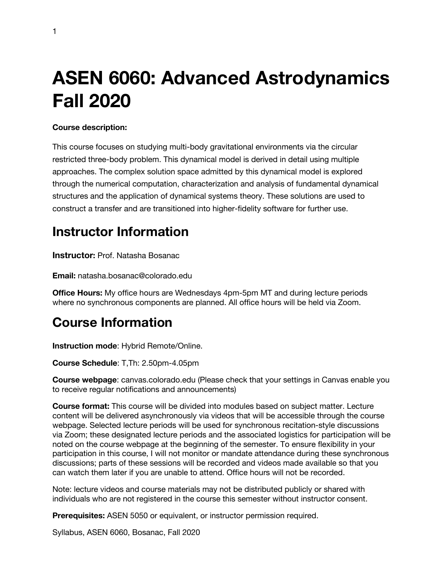# **ASEN 6060: Advanced Astrodynamics Fall 2020**

#### **Course description:**

This course focuses on studying multi-body gravitational environments via the circular restricted three-body problem. This dynamical model is derived in detail using multiple approaches. The complex solution space admitted by this dynamical model is explored through the numerical computation, characterization and analysis of fundamental dynamical structures and the application of dynamical systems theory. These solutions are used to construct a transfer and are transitioned into higher-fidelity software for further use.

### **Instructor Information**

**Instructor:** Prof. Natasha Bosanac

**Email:** natasha.bosanac@colorado.edu

**Office Hours:** My office hours are Wednesdays 4pm-5pm MT and during lecture periods where no synchronous components are planned. All office hours will be held via Zoom.

### **Course Information**

**Instruction mode**: Hybrid Remote/Online.

**Course Schedule**: T,Th: 2.50pm-4.05pm

**Course webpage**: canvas.colorado.edu (Please check that your settings in Canvas enable you to receive regular notifications and announcements)

**Course format:** This course will be divided into modules based on subject matter. Lecture content will be delivered asynchronously via videos that will be accessible through the course webpage. Selected lecture periods will be used for synchronous recitation-style discussions via Zoom; these designated lecture periods and the associated logistics for participation will be noted on the course webpage at the beginning of the semester. To ensure flexibility in your participation in this course, I will not monitor or mandate attendance during these synchronous discussions; parts of these sessions will be recorded and videos made available so that you can watch them later if you are unable to attend. Office hours will not be recorded.

Note: lecture videos and course materials may not be distributed publicly or shared with individuals who are not registered in the course this semester without instructor consent.

**Prerequisites:** ASEN 5050 or equivalent, or instructor permission required.

Syllabus, ASEN 6060, Bosanac, Fall 2020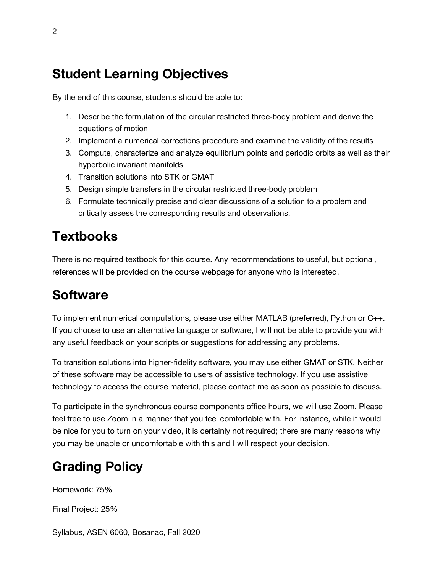### **Student Learning Objectives**

By the end of this course, students should be able to:

- 1. Describe the formulation of the circular restricted three-body problem and derive the equations of motion
- 2. Implement a numerical corrections procedure and examine the validity of the results
- 3. Compute, characterize and analyze equilibrium points and periodic orbits as well as their hyperbolic invariant manifolds
- 4. Transition solutions into STK or GMAT
- 5. Design simple transfers in the circular restricted three-body problem
- 6. Formulate technically precise and clear discussions of a solution to a problem and critically assess the corresponding results and observations.

# **Textbooks**

There is no required textbook for this course. Any recommendations to useful, but optional, references will be provided on the course webpage for anyone who is interested.

### **Software**

To implement numerical computations, please use either MATLAB (preferred), Python or C++. If you choose to use an alternative language or software, I will not be able to provide you with any useful feedback on your scripts or suggestions for addressing any problems.

To transition solutions into higher-fidelity software, you may use either GMAT or STK. Neither of these software may be accessible to users of assistive technology. If you use assistive technology to access the course material, please contact me as soon as possible to discuss.

To participate in the synchronous course components office hours, we will use Zoom. Please feel free to use Zoom in a manner that you feel comfortable with. For instance, while it would be nice for you to turn on your video, it is certainly not required; there are many reasons why you may be unable or uncomfortable with this and I will respect your decision.

# **Grading Policy**

Homework: 75%

Final Project: 25%

Syllabus, ASEN 6060, Bosanac, Fall 2020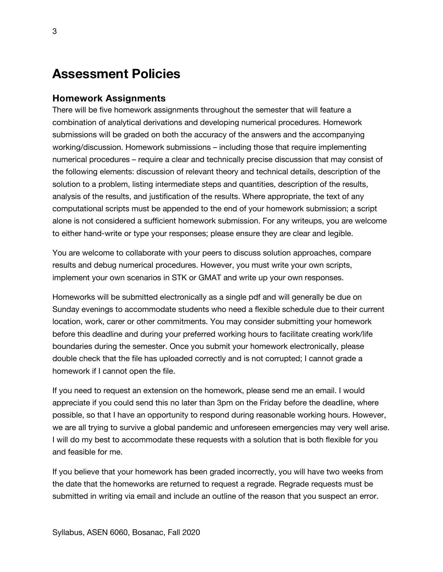### **Assessment Policies**

#### **Homework Assignments**

There will be five homework assignments throughout the semester that will feature a combination of analytical derivations and developing numerical procedures. Homework submissions will be graded on both the accuracy of the answers and the accompanying working/discussion. Homework submissions – including those that require implementing numerical procedures – require a clear and technically precise discussion that may consist of the following elements: discussion of relevant theory and technical details, description of the solution to a problem, listing intermediate steps and quantities, description of the results, analysis of the results, and justification of the results. Where appropriate, the text of any computational scripts must be appended to the end of your homework submission; a script alone is not considered a sufficient homework submission. For any writeups, you are welcome to either hand-write or type your responses; please ensure they are clear and legible.

You are welcome to collaborate with your peers to discuss solution approaches, compare results and debug numerical procedures. However, you must write your own scripts, implement your own scenarios in STK or GMAT and write up your own responses.

Homeworks will be submitted electronically as a single pdf and will generally be due on Sunday evenings to accommodate students who need a flexible schedule due to their current location, work, carer or other commitments. You may consider submitting your homework before this deadline and during your preferred working hours to facilitate creating work/life boundaries during the semester. Once you submit your homework electronically, please double check that the file has uploaded correctly and is not corrupted; I cannot grade a homework if I cannot open the file.

If you need to request an extension on the homework, please send me an email. I would appreciate if you could send this no later than 3pm on the Friday before the deadline, where possible, so that I have an opportunity to respond during reasonable working hours. However, we are all trying to survive a global pandemic and unforeseen emergencies may very well arise. I will do my best to accommodate these requests with a solution that is both flexible for you and feasible for me.

If you believe that your homework has been graded incorrectly, you will have two weeks from the date that the homeworks are returned to request a regrade. Regrade requests must be submitted in writing via email and include an outline of the reason that you suspect an error.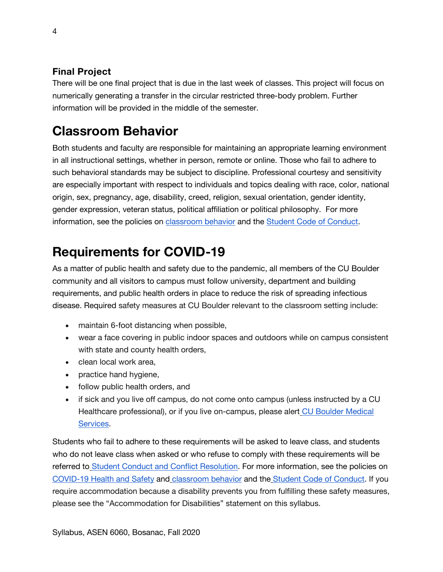#### **Final Project**

There will be one final project that is due in the last week of classes. This project will focus on numerically generating a transfer in the circular restricted three-body problem. Further information will be provided in the middle of the semester.

# **Classroom Behavior**

Both students and faculty are responsible for maintaining an appropriate learning environment in all instructional settings, whether in person, remote or online. Those who fail to adhere to such behavioral standards may be subject to discipline. Professional courtesy and sensitivity are especially important with respect to individuals and topics dealing with race, color, national origin, sex, pregnancy, age, disability, creed, religion, sexual orientation, gender identity, gender expression, veteran status, political affiliation or political philosophy. For more information, see the policies on classroom behavior and the Student Code of Conduct.

# **Requirements for COVID-19**

As a matter of public health and safety due to the pandemic, all members of the CU Boulder community and all visitors to campus must follow university, department and building requirements, and public health orders in place to reduce the risk of spreading infectious disease. Required safety measures at CU Boulder relevant to the classroom setting include:

- maintain 6-foot distancing when possible,
- wear a face covering in public indoor spaces and outdoors while on campus consistent with state and county health orders,
- clean local work area,
- practice hand hygiene,
- follow public health orders, and
- if sick and you live off campus, do not come onto campus (unless instructed by a CU Healthcare professional), or if you live on-campus, please alert CU Boulder Medical Services.

Students who fail to adhere to these requirements will be asked to leave class, and students who do not leave class when asked or who refuse to comply with these requirements will be referred to Student Conduct and Conflict Resolution. For more information, see the policies on COVID-19 Health and Safety and classroom behavior and the Student Code of Conduct. If you require accommodation because a disability prevents you from fulfilling these safety measures, please see the "Accommodation for Disabilities" statement on this syllabus.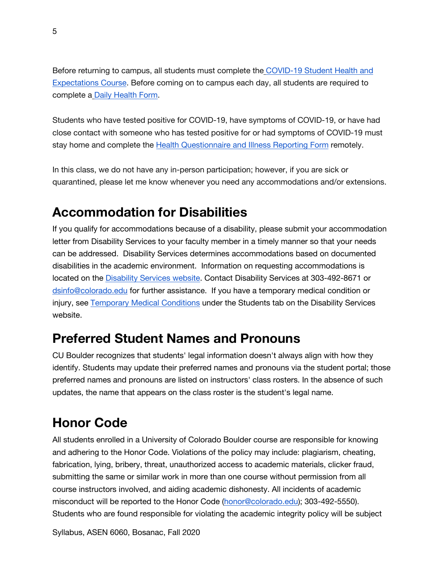Before returning to campus, all students must complete the COVID-19 Student Health and Expectations Course. Before coming on to campus each day, all students are required to complete a Daily Health Form.

Students who have tested positive for COVID-19, have symptoms of COVID-19, or have had close contact with someone who has tested positive for or had symptoms of COVID-19 must stay home and complete the Health Questionnaire and Illness Reporting Form remotely.

In this class, we do not have any in-person participation; however, if you are sick or quarantined, please let me know whenever you need any accommodations and/or extensions.

### **Accommodation for Disabilities**

If you qualify for accommodations because of a disability, please submit your accommodation letter from Disability Services to your faculty member in a timely manner so that your needs can be addressed. Disability Services determines accommodations based on documented disabilities in the academic environment. Information on requesting accommodations is located on the Disability Services website. Contact Disability Services at 303-492-8671 or dsinfo@colorado.edu for further assistance. If you have a temporary medical condition or injury, see Temporary Medical Conditions under the Students tab on the Disability Services website.

### **Preferred Student Names and Pronouns**

CU Boulder recognizes that students' legal information doesn't always align with how they identify. Students may update their preferred names and pronouns via the student portal; those preferred names and pronouns are listed on instructors' class rosters. In the absence of such updates, the name that appears on the class roster is the student's legal name.

# **Honor Code**

All students enrolled in a University of Colorado Boulder course are responsible for knowing and adhering to the Honor Code. Violations of the policy may include: plagiarism, cheating, fabrication, lying, bribery, threat, unauthorized access to academic materials, clicker fraud, submitting the same or similar work in more than one course without permission from all course instructors involved, and aiding academic dishonesty. All incidents of academic misconduct will be reported to the Honor Code (honor@colorado.edu); 303-492-5550). Students who are found responsible for violating the academic integrity policy will be subject

Syllabus, ASEN 6060, Bosanac, Fall 2020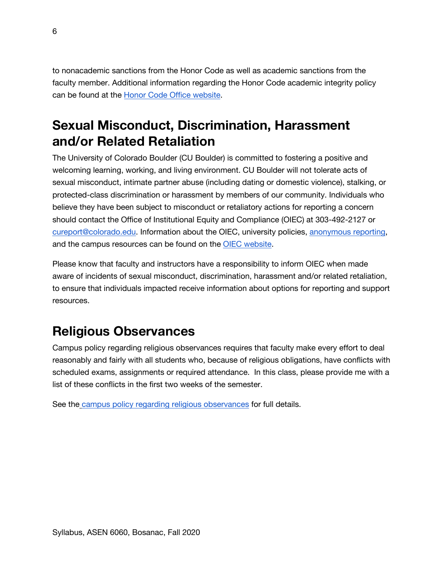to nonacademic sanctions from the Honor Code as well as academic sanctions from the faculty member. Additional information regarding the Honor Code academic integrity policy can be found at the Honor Code Office website.

## **Sexual Misconduct, Discrimination, Harassment and/or Related Retaliation**

The University of Colorado Boulder (CU Boulder) is committed to fostering a positive and welcoming learning, working, and living environment. CU Boulder will not tolerate acts of sexual misconduct, intimate partner abuse (including dating or domestic violence), stalking, or protected-class discrimination or harassment by members of our community. Individuals who believe they have been subject to misconduct or retaliatory actions for reporting a concern should contact the Office of Institutional Equity and Compliance (OIEC) at 303-492-2127 or cureport@colorado.edu. Information about the OIEC, university policies, anonymous reporting, and the campus resources can be found on the OIEC website.

Please know that faculty and instructors have a responsibility to inform OIEC when made aware of incidents of sexual misconduct, discrimination, harassment and/or related retaliation, to ensure that individuals impacted receive information about options for reporting and support resources.

# **Religious Observances**

Campus policy regarding religious observances requires that faculty make every effort to deal reasonably and fairly with all students who, because of religious obligations, have conflicts with scheduled exams, assignments or required attendance. In this class, please provide me with a list of these conflicts in the first two weeks of the semester.

See the campus policy regarding religious observances for full details.